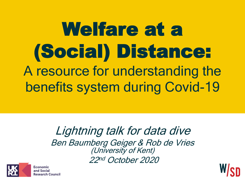Welfare at a (Social) Distance: A resource for understanding the benefits system during Covid-19

> Lightning talk for data dive Ben Baumberg Geiger & Rob de Vries (University of Kent) 22 nd October 2020



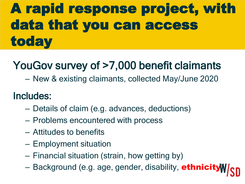## A rapid response project, with data that you can access today

### YouGov survey of >7,000 benefit claimants

– New & existing claimants, collected May/June 2020

#### Includes:

- Details of claim (e.g. advances, deductions)
- Problems encountered with process
- Attitudes to benefits
- Employment situation
- Financial situation (strain, how getting by)
- Background (e.g. age, gender, disability, **ethnicity**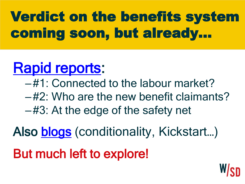## Verdict on the benefits system coming soon, but already…

## [Rapid reports](http://hub.salford.ac.uk/welfare-at-a-social-distance/publications/):

- –#1: Connected to the labour market?
- –#2: Who are the new benefit claimants?
- –#3: At the edge of the safety net

Also **blogs** (conditionality, Kickstart...)

But much left to explore!

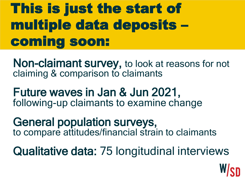### This is just the start of multiple data deposits – coming soon:

Non-claimant survey, to look at reasons for not claiming & comparison to claimants

#### Future waves in Jan & Jun 2021, following-up claimants to examine change

#### General population surveys, to compare attitudes/financial strain to claimants

Qualitative data: 75 longitudinal interviews

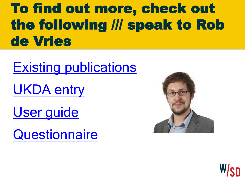### To find out more, check out the following /// speak to Rob de Vries

[Existing publications](http://hub.salford.ac.uk/welfare-at-a-social-distance/publications/)

[UKDA entry](https://beta.ukdataservice.ac.uk/datacatalogue/studies/study?id=8689)

[User guide](http://doc.ukdataservice.ac.uk/doc/8689/mrdoc/pdf/8689_0_user_guide_for_wasd_data.pdf)

**[Questionnaire](http://doc.ukdataservice.ac.uk/doc/8689/mrdoc/pdf/8689_1_claimant_w1_questionnaire.pdf)**